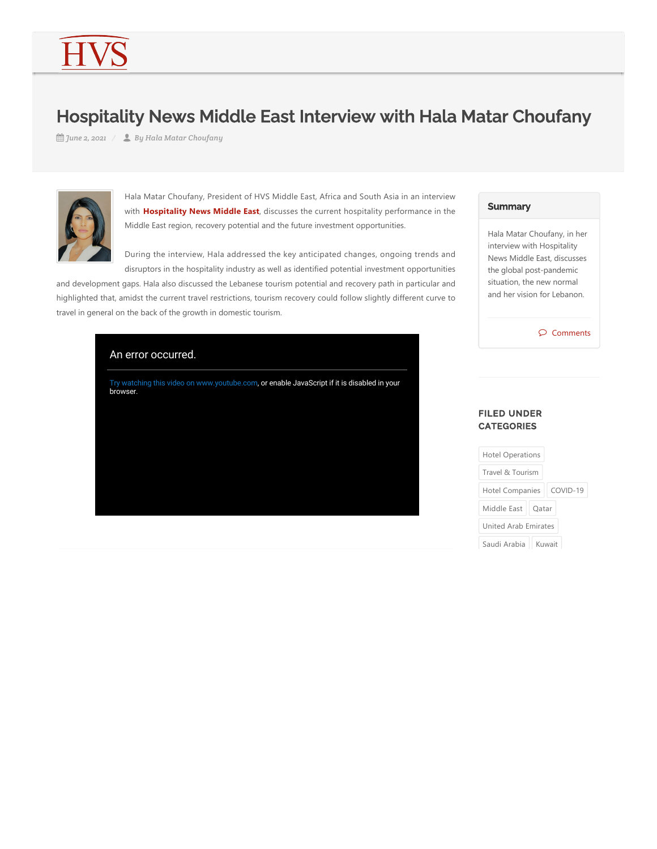# Hospitality News Middle East Interview with Hala Matar Choufany

*June 2, 2021 By Hala Matar Choufany*



Hala Matar Choufany, President of HVS Middle East, Africa and South Asia in an interview with **Hospitality News Middle East**, discusses the current hospitality performance in the Middle East region, recovery potential and the future investment opportunities.

During the interview, Hala addressed the key anticipated changes, ongoing trends and disruptors in the hospitality industry as well as identified potential investment opportunities

and development gaps. Hala also discussed the Lebanese tourism potential and recovery path in particular and highlighted that, amidst the current travel restrictions, tourism recovery could follow slightly different curve to travel in general on the back of the growth in domestic tourism.

# An error occurred.

Try watching this video on www.youtube.com, or enable JavaScript if it is disabled in your browser.

#### **Summary**

Hala Matar Choufany, in her interview with Hospitality News Middle East, discusses the global post‐pandemic situation, the new normal and her vision for Lebanon.

 $\mathcal{D}$  Comments

## FILED UNDER **CATEGORIES**